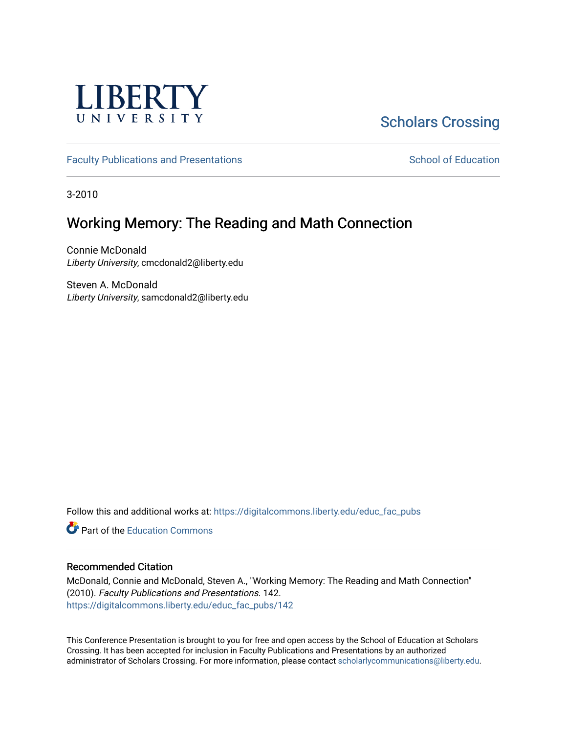

#### [Scholars Crossing](https://digitalcommons.liberty.edu/)

[Faculty Publications and Presentations](https://digitalcommons.liberty.edu/educ_fac_pubs) [School of Education](https://digitalcommons.liberty.edu/soe) School of Education

3-2010

#### Working Memory: The Reading and Math Connection

Connie McDonald Liberty University, cmcdonald2@liberty.edu

Steven A. McDonald Liberty University, samcdonald2@liberty.edu

Follow this and additional works at: [https://digitalcommons.liberty.edu/educ\\_fac\\_pubs](https://digitalcommons.liberty.edu/educ_fac_pubs?utm_source=digitalcommons.liberty.edu%2Feduc_fac_pubs%2F142&utm_medium=PDF&utm_campaign=PDFCoverPages) 

**C**<sup> $\bullet$ </sup> Part of the [Education Commons](http://network.bepress.com/hgg/discipline/784?utm_source=digitalcommons.liberty.edu%2Feduc_fac_pubs%2F142&utm_medium=PDF&utm_campaign=PDFCoverPages)

#### Recommended Citation

McDonald, Connie and McDonald, Steven A., "Working Memory: The Reading and Math Connection" (2010). Faculty Publications and Presentations. 142. [https://digitalcommons.liberty.edu/educ\\_fac\\_pubs/142](https://digitalcommons.liberty.edu/educ_fac_pubs/142?utm_source=digitalcommons.liberty.edu%2Feduc_fac_pubs%2F142&utm_medium=PDF&utm_campaign=PDFCoverPages) 

This Conference Presentation is brought to you for free and open access by the School of Education at Scholars Crossing. It has been accepted for inclusion in Faculty Publications and Presentations by an authorized administrator of Scholars Crossing. For more information, please contact [scholarlycommunications@liberty.edu.](mailto:scholarlycommunications@liberty.edu)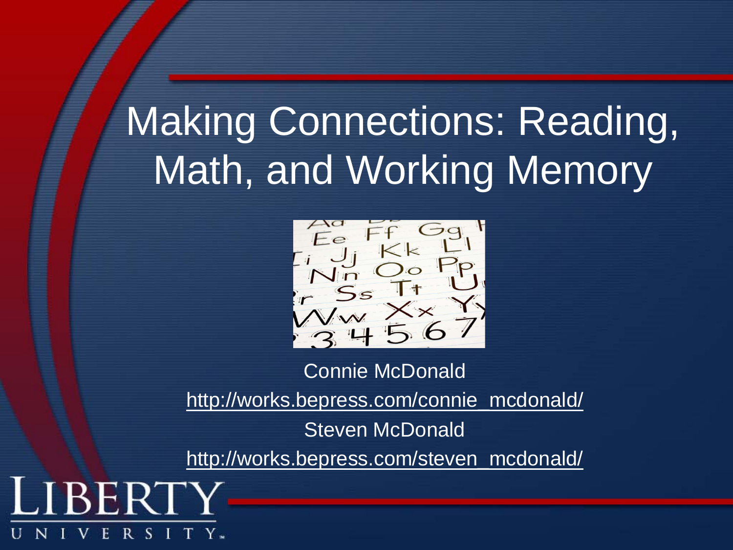# Making Connections: Reading, Math, and Working Memory



Connie McDonald [http://works.bepress.com/connie\\_mcdonald/](http://works.bepress.com/connie_mcdonald/) Steven McDonald [http://works.bepress.com/steven\\_mcdonald/](http://works.bepress.com/steven_mcdonald/)

W

R S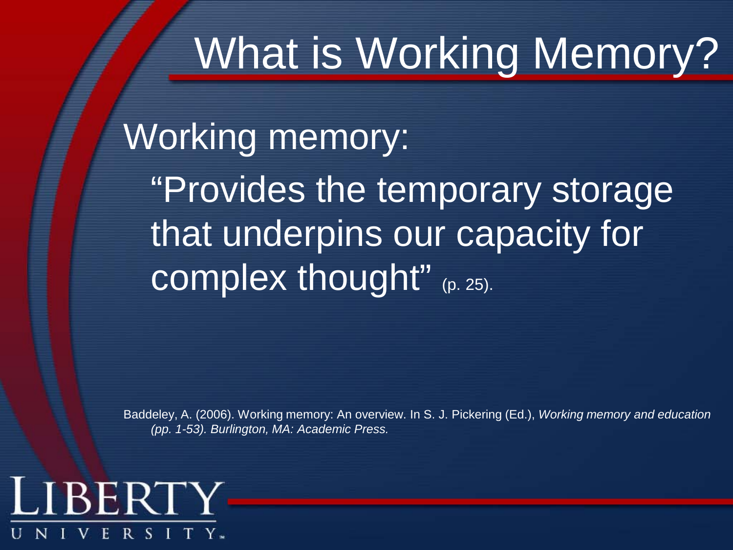# What is Working Memory?

Working memory: "Provides the temporary storage that underpins our capacity for complex thought" (p. 25).

Baddeley, A. (2006). Working memory: An overview. In S. J. Pickering (Ed.), *Working memory and education (pp. 1-53). Burlington, MA: Academic Press.*

#### LIBERTY R S I ŀ.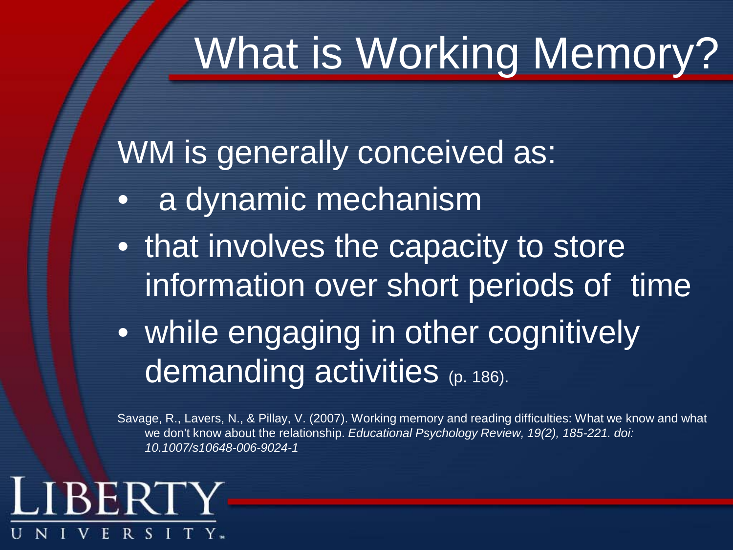# What is Working Memory?

WM is generally conceived as:

- a dynamic mechanism
- that involves the capacity to store information over short periods of time
- while engaging in other cognitively demanding activities (p. 186).

Savage, R., Lavers, N., & Pillay, V. (2007). Working memory and reading difficulties: What we know and what we don't know about the relationship. *Educational Psychology Review, 19(2), 185-221. doi: 10.1007/s10648-006-9024-1*

#### LIBERT R S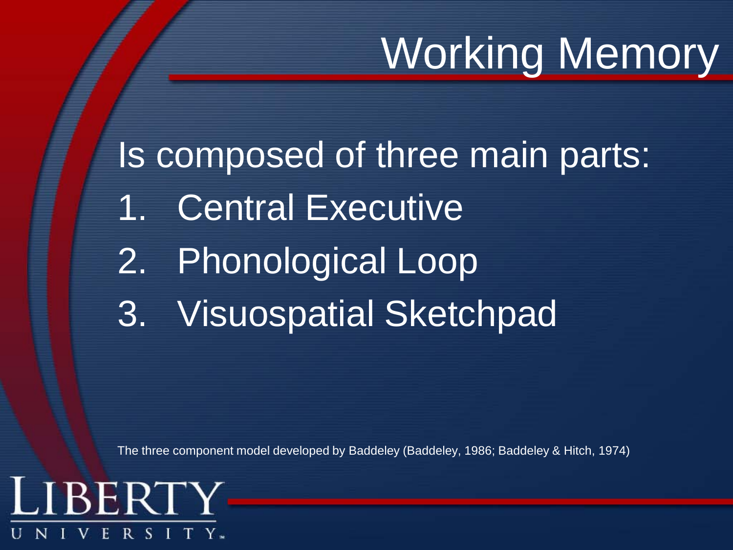# Working Memory

Is composed of three main parts: 1. Central Executive 2. Phonological Loop 3. Visuospatial Sketchpad

The three component model developed by Baddeley (Baddeley, 1986; Baddeley & Hitch, 1974)

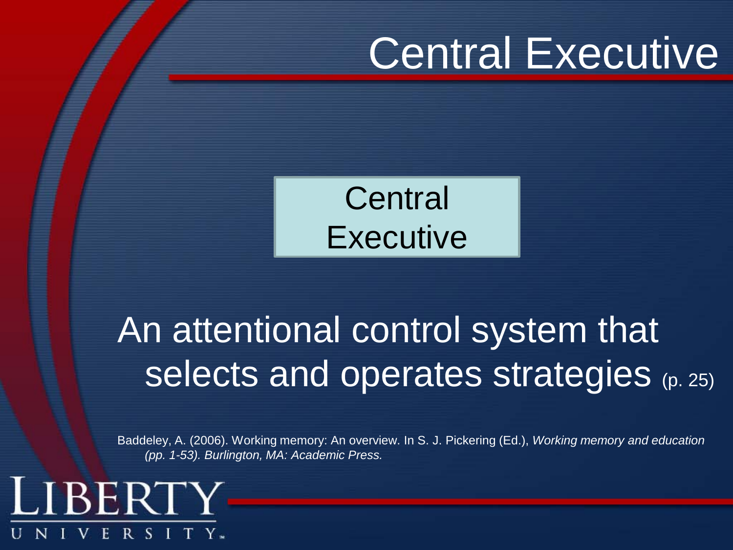# Central Executive



### An attentional control system that selects and operates strategies (p. 25)

Baddeley, A. (2006). Working memory: An overview. In S. J. Pickering (Ed.), *Working memory and education (pp. 1-53). Burlington, MA: Academic Press.*

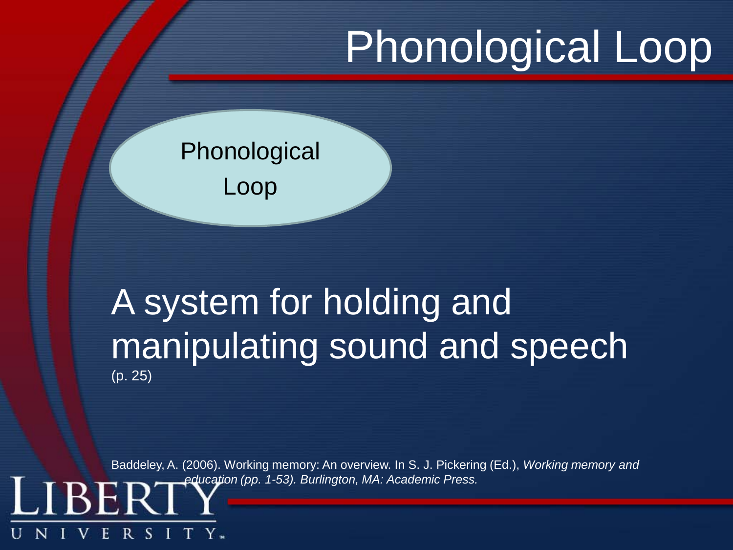# Phonological Loop

#### **Phonological** Loop

R. - S

F.

#### A system for holding and manipulating sound and speech (p. 25)

Baddeley, A. (2006). Working memory: An overview. In S. J. Pickering (Ed.), *Working memory and education (pp. 1-53). Burlington, MA: Academic Press.*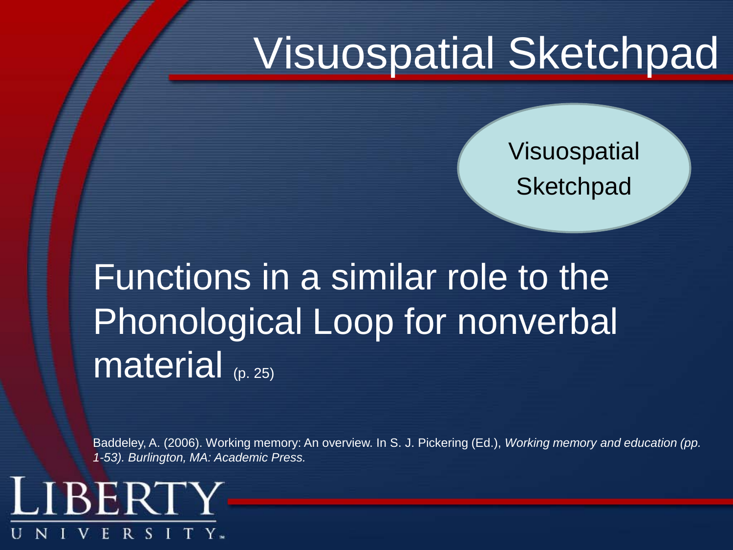# Visuospatial Sketchpad

Visuospatial **Sketchpad** 

Functions in a similar role to the Phonological Loop for nonverbal material (p. 25)

Baddeley, A. (2006). Working memory: An overview. In S. J. Pickering (Ed.), *Working memory and education (pp. 1-53). Burlington, MA: Academic Press.*

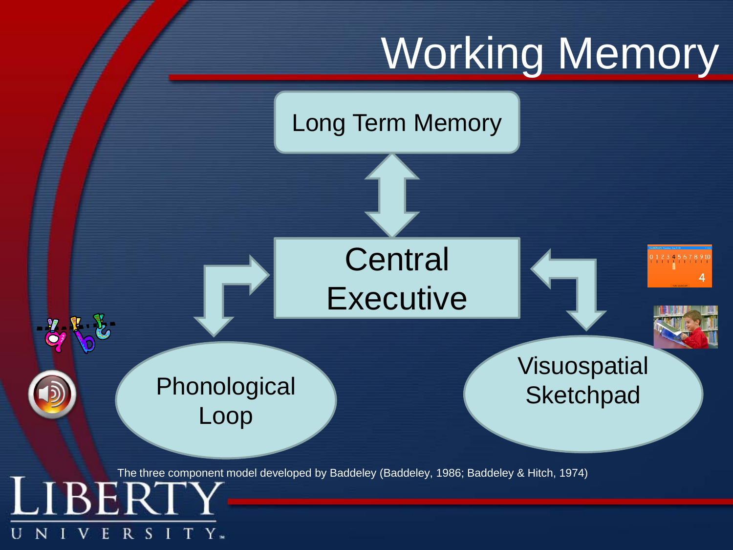

Long Term Memory



 $R S$ 

- 1

V

E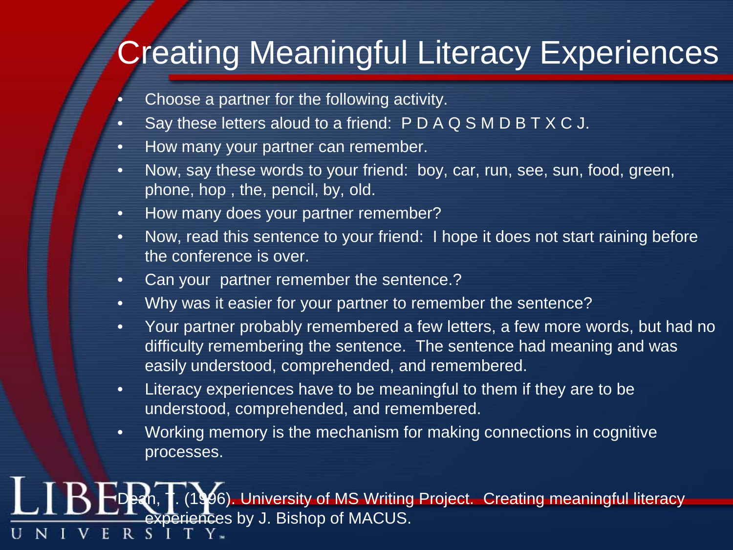#### **Creating Meaningful Literacy Experiences**

- Choose a partner for the following activity.
- Say these letters aloud to a friend: P D A Q S M D B T X C J.
- How many your partner can remember.
- Now, say these words to your friend: boy, car, run, see, sun, food, green, phone, hop , the, pencil, by, old.
- How many does your partner remember?
- Now, read this sentence to your friend: I hope it does not start raining before the conference is over.
- Can your partner remember the sentence.?
- Why was it easier for your partner to remember the sentence?
- Your partner probably remembered a few letters, a few more words, but had no difficulty remembering the sentence. The sentence had meaning and was easily understood, comprehended, and remembered.
- Literacy experiences have to be meaningful to them if they are to be understood, comprehended, and remembered.
- Working memory is the mechanism for making connections in cognitive processes.

Dean, T. (1996). University of MS Writing Project. Creating meaningful literacy experiences by J. Bishop of MACUS. $R_{\odot}$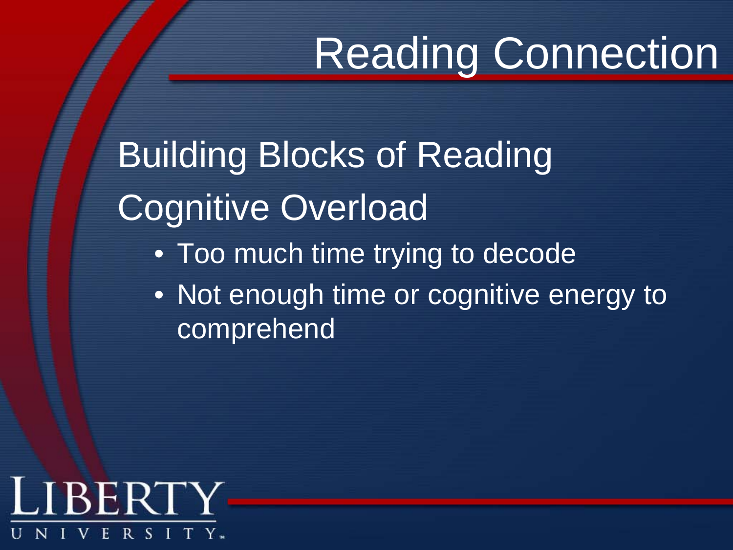# Reading Connection

Building Blocks of Reading Cognitive Overload • Too much time trying to decode

• Not enough time or cognitive energy to **comprehend** 

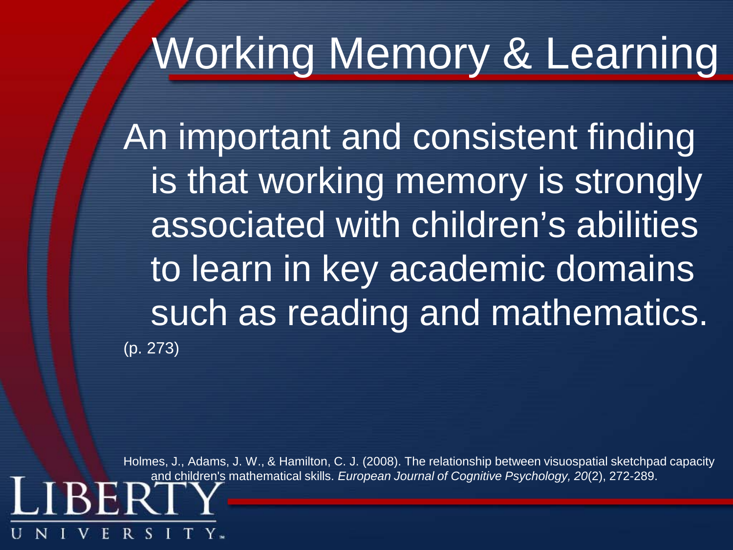# Working Memory & Learning

An important and consistent finding is that working memory is strongly associated with children's abilities to learn in key academic domains such as reading and mathematics. (p. 273)

Holmes, J., Adams, J. W., & Hamilton, C. J. (2008). The relationship between visuospatial sketchpad capacity and children's mathematical skills. *European Journal of Cognitive Psychology, 20*(2), 272-289.

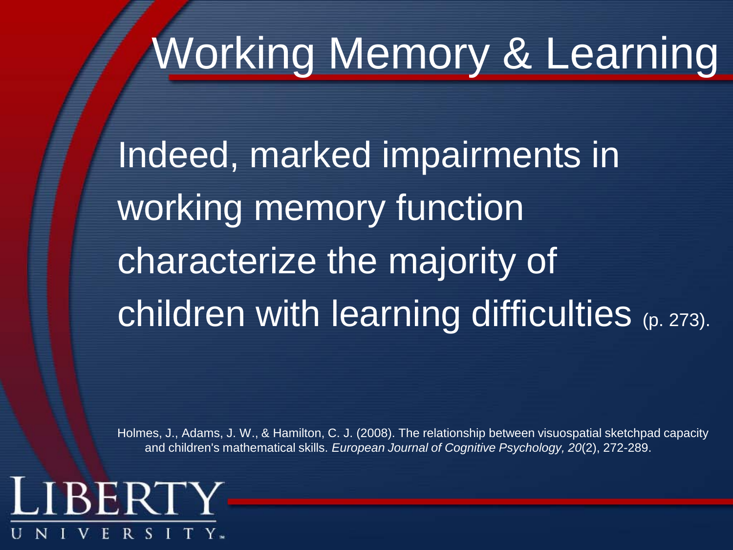# Working Memory & Learning

Indeed, marked impairments in working memory function characterize the majority of children with learning difficulties (p. 273).

Holmes, J., Adams, J. W., & Hamilton, C. J. (2008). The relationship between visuospatial sketchpad capacity and children's mathematical skills. *European Journal of Cognitive Psychology, 20*(2), 272-289.

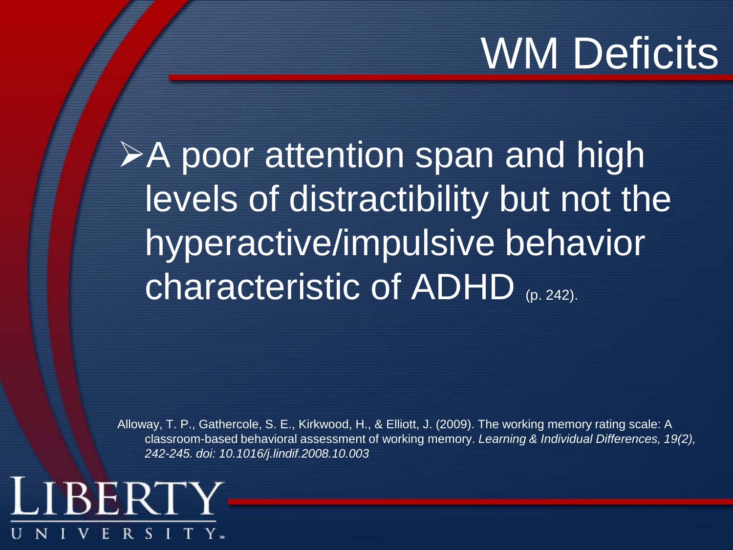# WM Deficits

**≻A poor attention span and high** levels of distractibility but not the hyperactive/impulsive behavior **characteristic of ADHD** (p. 242).

Alloway, T. P., Gathercole, S. E., Kirkwood, H., & Elliott, J. (2009). The working memory rating scale: A classroom-based behavioral assessment of working memory. *Learning & Individual Differences, 19(2), 242-245. doi: 10.1016/j.lindif.2008.10.003*

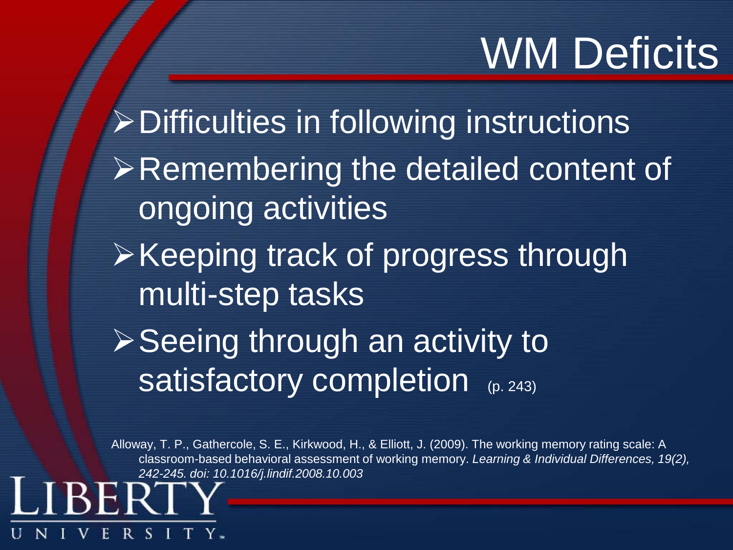# WM Deficits

Difficulties in following instructions  $\triangleright$  Remembering the detailed content of ongoing activities  $\triangleright$  Keeping track of progress through multi-step tasks  $\triangleright$  Seeing through an activity to satisfactory completion (p. 243)

Alloway, T. P., Gathercole, S. E., Kirkwood, H., & Elliott, J. (2009). The working memory rating scale: A classroom-based behavioral assessment of working memory. *Learning & Individual Differences, 19(2), 242-245. doi: 10.1016/j.lindif.2008.10.003*

R S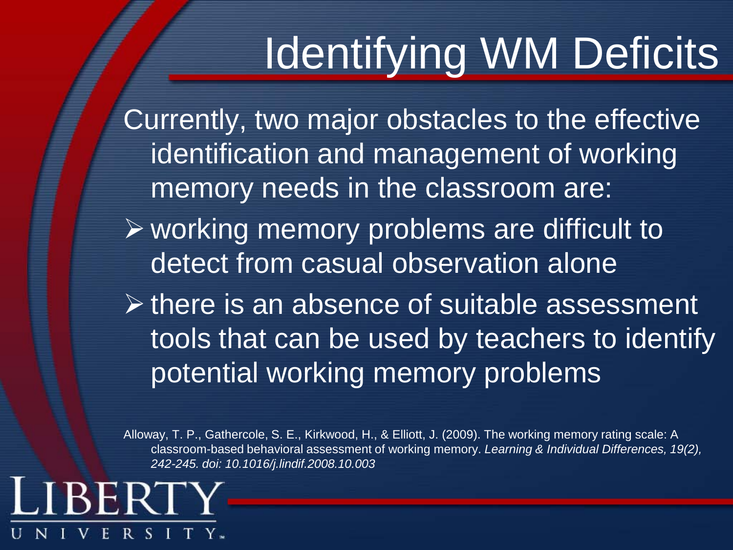# Identifying WM Deficits

Currently, two major obstacles to the effective identification and management of working memory needs in the classroom are:

- $\triangleright$  working memory problems are difficult to detect from casual observation alone
- $\triangleright$  there is an absence of suitable assessment tools that can be used by teachers to identify potential working memory problems

Alloway, T. P., Gathercole, S. E., Kirkwood, H., & Elliott, J. (2009). The working memory rating scale: A classroom-based behavioral assessment of working memory. *Learning & Individual Differences, 19(2), 242-245. doi: 10.1016/j.lindif.2008.10.003*

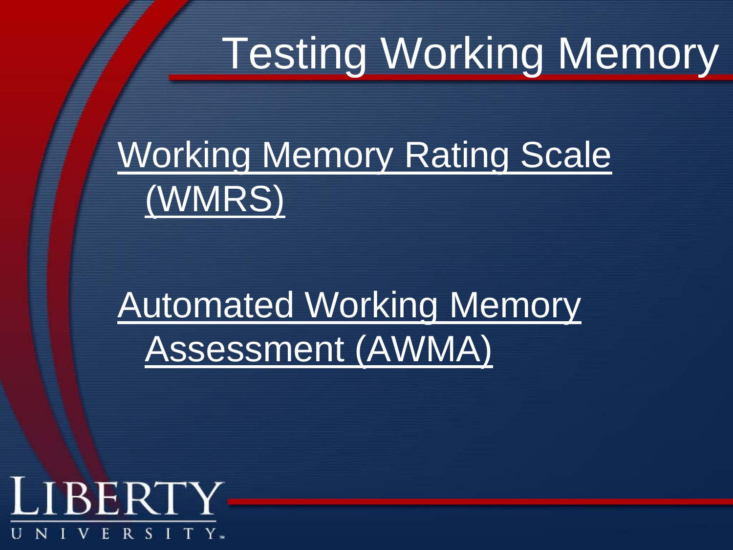# Testing Working Memory

### Working Memory Rating Scale (WMRS)

### Automated Working Memory Assessment (AWMA)

#### LIBERTY R S I T Y. Н.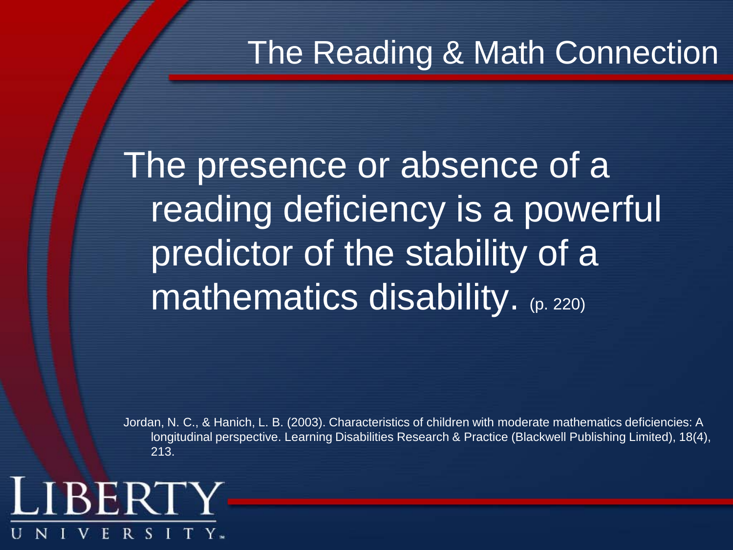The presence or absence of a reading deficiency is a powerful predictor of the stability of a **mathematics disability.** (p. 220)

Jordan, N. C., & Hanich, L. B. (2003). Characteristics of children with moderate mathematics deficiencies: A longitudinal perspective. Learning Disabilities Research & Practice (Blackwell Publishing Limited), 18(4), 213.

#### LIBERT R S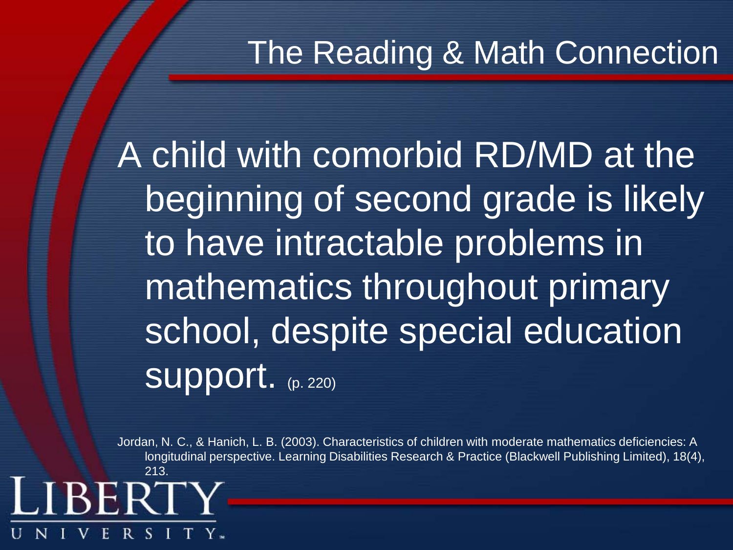A child with comorbid RD/MD at the beginning of second grade is likely to have intractable problems in mathematics throughout primary school, despite special education Support. (p. 220)

Jordan, N. C., & Hanich, L. B. (2003). Characteristics of children with moderate mathematics deficiencies: A longitudinal perspective. Learning Disabilities Research & Practice (Blackwell Publishing Limited), 18(4), 213.

**REI**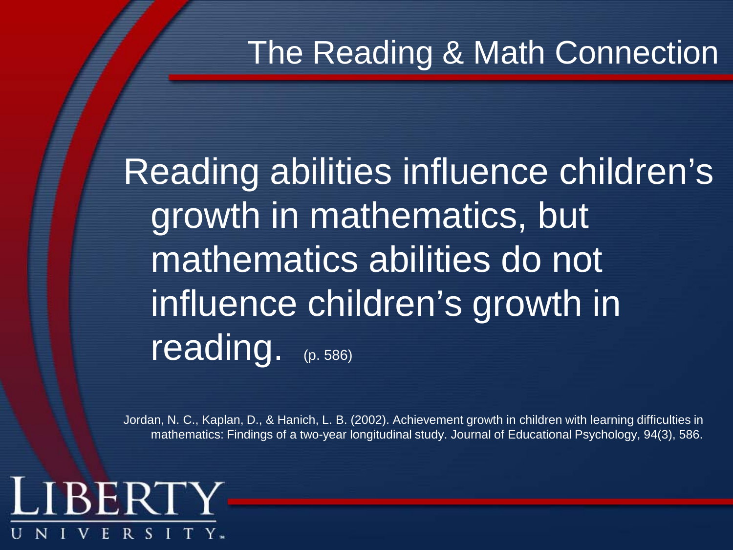Reading abilities influence children's growth in mathematics, but mathematics abilities do not influence children's growth in reading. (p. 586)

Jordan, N. C., Kaplan, D., & Hanich, L. B. (2002). Achievement growth in children with learning difficulties in mathematics: Findings of a two-year longitudinal study. Journal of Educational Psychology, 94(3), 586.

#### LIBERTY R S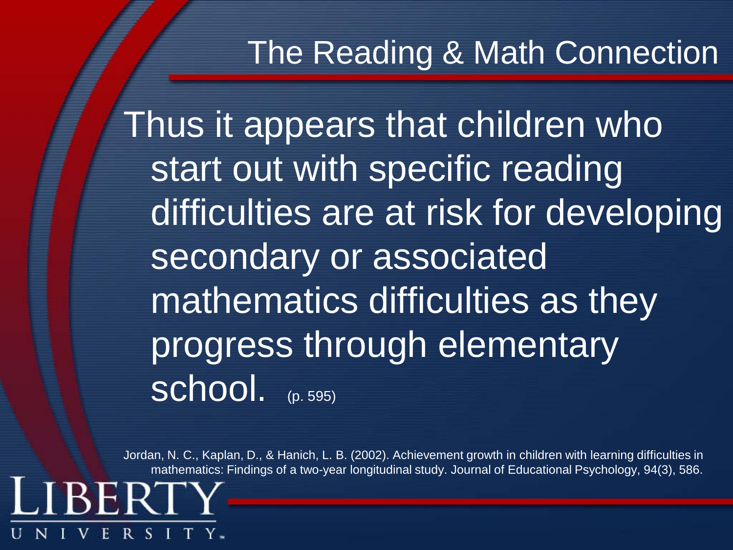Thus it appears that children who start out with specific reading difficulties are at risk for developing secondary or associated mathematics difficulties as they progress through elementary School. (p. 595)

Jordan, N. C., Kaplan, D., & Hanich, L. B. (2002). Achievement growth in children with learning difficulties in mathematics: Findings of a two-year longitudinal study. Journal of Educational Psychology, 94(3), 586.

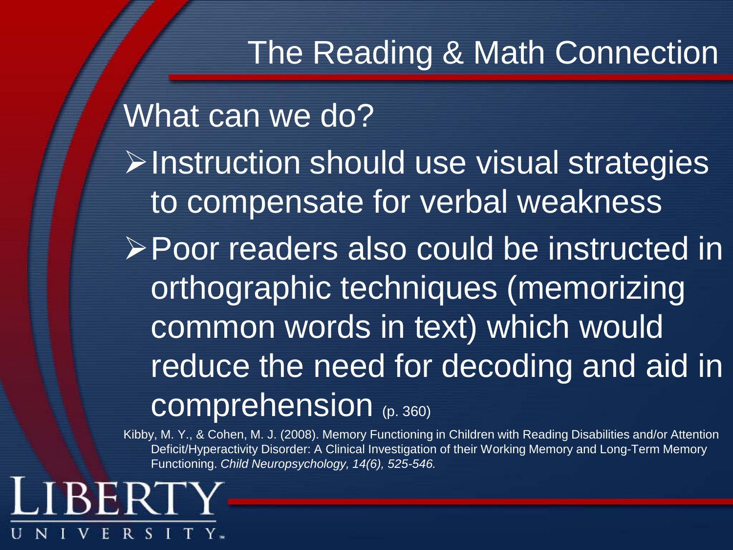What can we do?  $\triangleright$  Instruction should use visual strategies to compensate for verbal weakness Poor readers also could be instructed in orthographic techniques (memorizing common words in text) which would reduce the need for decoding and aid in comprehension (p. 360)

Kibby, M. Y., & Cohen, M. J. (2008). Memory Functioning in Children with Reading Disabilities and/or Attention Deficit/Hyperactivity Disorder: A Clinical Investigation of their Working Memory and Long-Term Memory Functioning. *Child Neuropsychology, 14(6), 525-546.* 

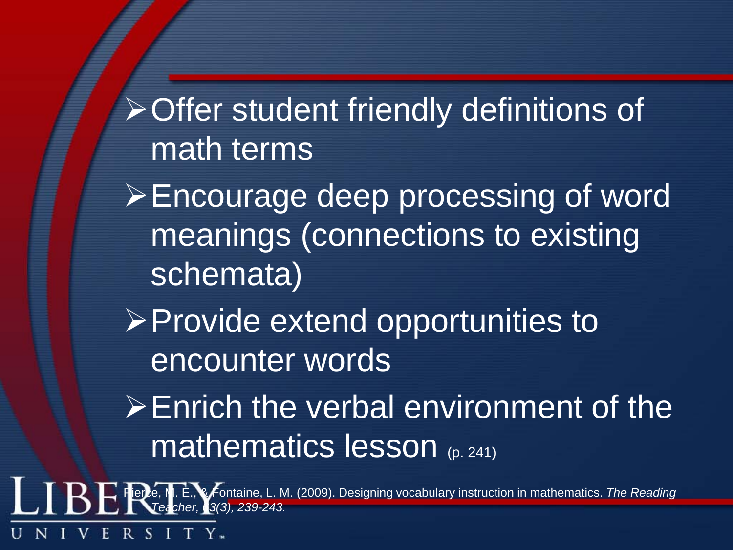Offer student friendly definitions of math terms

**Encourage deep processing of word** meanings (connections to existing schemata)

 $\triangleright$  Provide extend opportunities to encounter words

 $\triangleright$  Enrich the verbal environment of the mathematics lesson (p. 241)

Pierce, M. E., & Fontaine, L. M. (2009). Designing vocabulary instruction in mathematics. *The Reading Teacher, 63(3), 239-243.*

> R. -8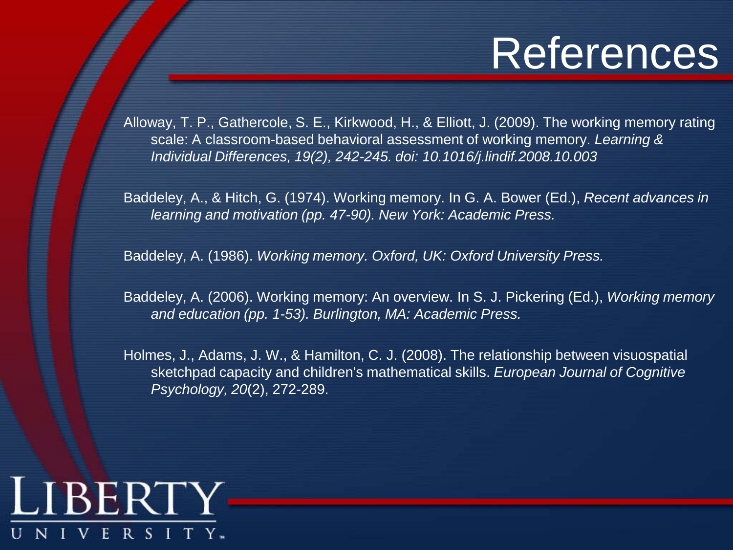## **References**

Alloway, T. P., Gathercole, S. E., Kirkwood, H., & Elliott, J. (2009). The working memory rating scale: A classroom-based behavioral assessment of working memory. *Learning & Individual Differences, 19(2), 242-245. doi: 10.1016/j.lindif.2008.10.003*

Baddeley, A., & Hitch, G. (1974). Working memory. In G. A. Bower (Ed.), *Recent advances in learning and motivation (pp. 47-90). New York: Academic Press.*

Baddeley, A. (1986). *Working memory. Oxford, UK: Oxford University Press.*

Baddeley, A. (2006). Working memory: An overview. In S. J. Pickering (Ed.), *Working memory and education (pp. 1-53). Burlington, MA: Academic Press.*

Holmes, J., Adams, J. W., & Hamilton, C. J. (2008). The relationship between visuospatial sketchpad capacity and children's mathematical skills. *European Journal of Cognitive Psychology, 20*(2), 272-289.